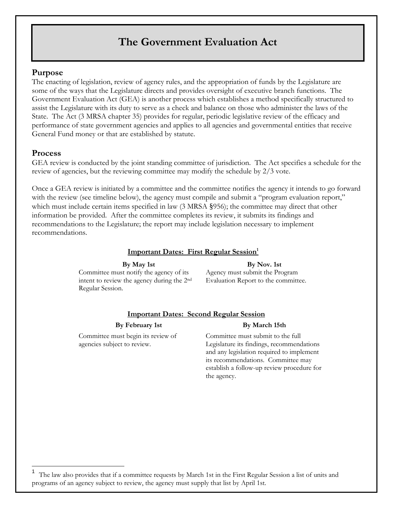# **The Government Evaluation Act**

# **Purpose**

The enacting of legislation, review of agency rules, and the appropriation of funds by the Legislature are some of the ways that the Legislature directs and provides oversight of executive branch functions. The Government Evaluation Act (GEA) is another process which establishes a method specifically structured to assist the Legislature with its duty to serve as a check and balance on those who administer the laws of the State. The Act (3 MRSA chapter 35) provides for regular, periodic legislative review of the efficacy and performance of state government agencies and applies to all agencies and governmental entities that receive General Fund money or that are established by statute.

# **Process**

l

GEA review is conducted by the joint standing committee of jurisdiction. The Act specifies a schedule for the review of agencies, but the reviewing committee may modify the schedule by 2/3 vote.

Once a GEA review is initiated by a committee and the committee notifies the agency it intends to go forward with the review (see timeline below), the agency must compile and submit a "program evaluation report," which must include certain items specified in law (3 MRSA §956); the committee may direct that other information be provided. After the committee completes its review, it submits its findings and recommendations to the Legislature; the report may include legislation necessary to implement recommendations.

## **Important Dates: First Regular Session<sup>1</sup>**

Committee must notify the agency of its intent to review the agency during the 2nd Regular Session.

**By May 1st By Nov. 1st** Agency must submit the Program Evaluation Report to the committee.

# **Important Dates: Second Regular Session**

### **By February 1st By March 15th**

Committee must begin its review of agencies subject to review.

Committee must submit to the full Legislature its findings, recommendations and any legislation required to implement its recommendations. Committee may establish a follow-up review procedure for the agency.

<sup>1</sup> The law also provides that if a committee requests by March 1st in the First Regular Session a list of units and programs of an agency subject to review, the agency must supply that list by April 1st.